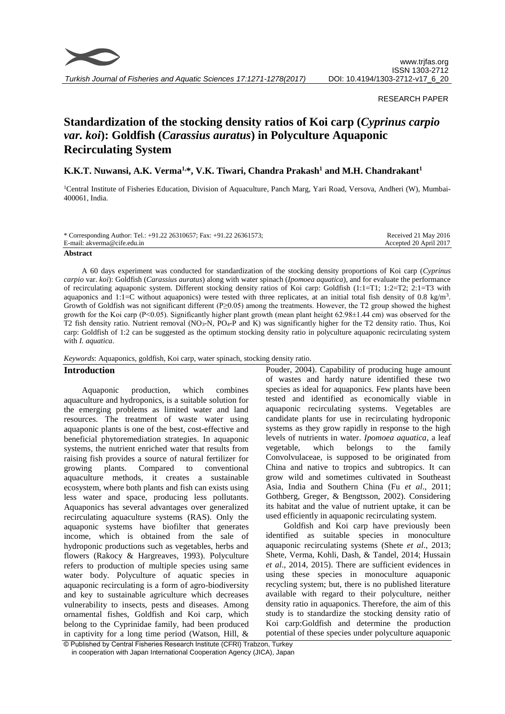

*Turkish Journal of Fisheries and Aquatic Sciences 17:1271-1278(2017)*

# RESEARCH PAPER

# **Standardization of the stocking density ratios of Koi carp (***Cyprinus carpio var. koi***): Goldfish (***Carassius auratus***) in Polyculture Aquaponic Recirculating System**

**K.K.T. Nuwansi, A.K. Verma1,\*, V.K. Tiwari, Chandra Prakash<sup>1</sup> and M.H. Chandrakant<sup>1</sup>**

<sup>1</sup>Central Institute of Fisheries Education, Division of Aquaculture, Panch Marg, Yari Road, Versova, Andheri (W), Mumbai-400061, India.

| * Corresponding Author: Tel.: +91.22 26310657; Fax: +91.22 26361573; | Received 21 May 2016   |
|----------------------------------------------------------------------|------------------------|
| E-mail: akverma@cife.edu.in                                          | Accepted 20 April 2017 |
| .                                                                    |                        |

#### **Abstract**

A 60 days experiment was conducted for standardization of the stocking density proportions of Koi carp (*Cyprinus carpio* var. *koi*): Goldfish (*Carassius auratus*) along with water spinach (*Ipomoea aquatica*), and for evaluate the performance of recirculating aquaponic system. Different stocking density ratios of Koi carp: Goldfish  $(1:1=T1; 1:2=T2; 2:1=T3)$  with aquaponics and 1:1=C without aquaponics) were tested with three replicates, at an initial total fish density of 0.8 kg/m<sup>3</sup>. Growth of Goldfish was not significant different (P≥0.05) among the treatments. However, the T2 group showed the highest growth for the Koi carp (P<0.05). Significantly higher plant growth (mean plant height 62.98±1.44 cm) was observed for the T2 fish density ratio. Nutrient removal (NO3-N, PO4-P and K) was significantly higher for the T2 density ratio. Thus, Koi carp: Goldfish of 1:2 can be suggested as the optimum stocking density ratio in polyculture aquaponic recirculating system with *I. aquatica*.

*Keywords*: Aquaponics, goldfish, Koi carp, water spinach, stocking density ratio.

## **Introduction**

Aquaponic production, which combines aquaculture and hydroponics, is a suitable solution for the emerging problems as limited water and land resources. The treatment of waste water using aquaponic plants is one of the best, cost-effective and beneficial phytoremediation strategies. In aquaponic systems, the nutrient enriched water that results from raising fish provides a source of natural fertilizer for growing plants. Compared to conventional aquaculture methods, it creates a sustainable ecosystem, where both plants and fish can exists using less water and space, producing less pollutants. Aquaponics has several advantages over generalized recirculating aquaculture systems (RAS). Only the aquaponic systems have biofilter that generates income, which is obtained from the sale of hydroponic productions such as vegetables, herbs and flowers (Rakocy & Hargreaves, 1993). Polyculture refers to production of multiple species using same water body. Polyculture of aquatic species in aquaponic recirculating is a form of agro-biodiversity and key to sustainable agriculture which decreases vulnerability to insects, pests and diseases. Among ornamental fishes, Goldfish and Koi carp, which belong to the Cyprinidae family, had been produced in captivity for a long time period (Watson, Hill, &

Pouder, 2004). Capability of producing huge amount of wastes and hardy nature identified these two species as ideal for aquaponics. Few plants have been tested and identified as economically viable in aquaponic recirculating systems. Vegetables are candidate plants for use in recirculating hydroponic systems as they grow rapidly in response to the high levels of nutrients in water. *Ipomoea aquatica*, a leaf vegetable, which belongs to the family Convolvulaceae, is supposed to be originated from China and native to tropics and subtropics. It can grow wild and sometimes cultivated in Southeast Asia, India and Southern China (Fu *et al*., 2011; Gothberg, Greger, & Bengtsson, 2002). Considering its habitat and the value of nutrient uptake, it can be used efficiently in aquaponic recirculating system.

Goldfish and Koi carp have previously been identified as suitable species in monoculture aquaponic recirculating systems (Shete *et al*., 2013; Shete, Verma, Kohli, Dash, & Tandel, 2014; Hussain *et al*., 2014, 2015). There are sufficient evidences in using these species in monoculture aquaponic recycling system; but, there is no published literature available with regard to their polyculture, neither density ratio in aquaponics. Therefore, the aim of this study is to standardize the stocking density ratio of Koi carp:Goldfish and determine the production potential of these species under polyculture aquaponic

© Published by Central Fisheries Research Institute (CFRI) Trabzon, Turkey in cooperation with Japan International Cooperation Agency (JICA), Japan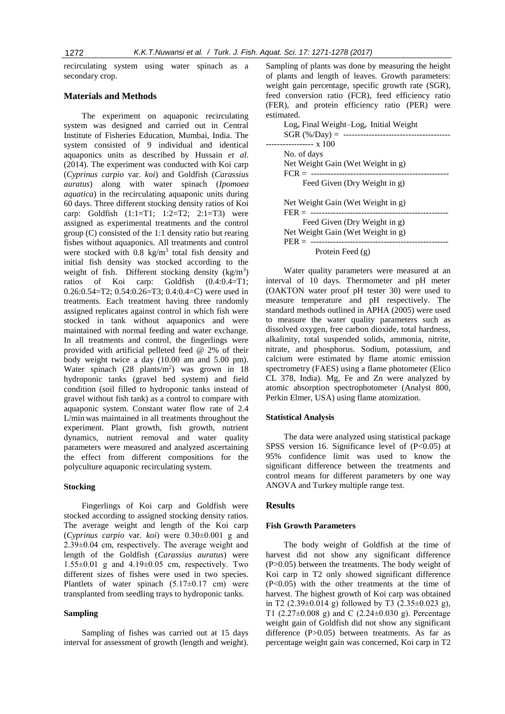recirculating system using water spinach as a secondary crop.

# **Materials and Methods**

The experiment on aquaponic recirculating system was designed and carried out in Central Institute of Fisheries Education, Mumbai, India. The system consisted of 9 individual and identical aquaponics units as described by Hussain *et al*. (2014). The experiment was conducted with Koi carp (*Cyprinus carpio* var. *koi*) and Goldfish (*Carassius auratus*) along with water spinach (*Ipomoea aquatica*) in the recirculating aquaponic units during 60 days. Three different stocking density ratios of Koi carp: Goldfish (1:1=T1; 1:2=T2; 2:1=T3) were assigned as experimental treatments and the control group (C) consisted of the 1:1 density ratio but rearing fishes without aquaponics. All treatments and control were stocked with  $0.8 \text{ kg/m}^3$  total fish density and initial fish density was stocked according to the weight of fish. Different stocking density  $(kg/m<sup>3</sup>)$ ratios of Koi carp: Goldfish (0.4:0.4=T1; 0.26:0.54=T2; 0.54:0.26=T3; 0.4:0.4=C) were used in treatments. Each treatment having three randomly assigned replicates against control in which fish were stocked in tank without aquaponics and were maintained with normal feeding and water exchange. In all treatments and control, the fingerlings were provided with artificial pelleted feed @ 2% of their body weight twice a day (10.00 am and 5.00 pm). Water spinach  $(28 \text{ plants/m}^2)$  was grown in 18 hydroponic tanks (gravel bed system) and field condition (soil filled to hydroponic tanks instead of gravel without fish tank) as a control to compare with aquaponic system. Constant water flow rate of 2.4 L/min was maintained in all treatments throughout the experiment. Plant growth, fish growth, nutrient dynamics, nutrient removal and water quality parameters were measured and analyzed ascertaining the effect from different compositions for the polyculture aquaponic recirculating system.

# **Stocking**

Fingerlings of Koi carp and Goldfish were stocked according to assigned stocking density ratios. The average weight and length of the Koi carp (*Cyprinus carpio* var. *koi*) were 0.30±0.001 g and 2.39±0.04 cm, respectively. The average weight and length of the Goldfish (*Carassius auratus*) were  $1.55\pm0.01$  g and  $4.19\pm0.05$  cm, respectively. Two different sizes of fishes were used in two species. Plantlets of water spinach  $(5.17 \pm 0.17$  cm) were transplanted from seedling trays to hydroponic tanks.

## **Sampling**

Sampling of fishes was carried out at 15 days interval for assessment of growth (length and weight).

Sampling of plants was done by measuring the height of plants and length of leaves. Growth parameters: weight gain percentage, specific growth rate (SGR), feed conversion ratio (FCR), feed efficiency ratio (FER), and protein efficiency ratio (PER) were estimated.

| $\text{Log}_{e}$ Final Weight-Log <sub>e</sub> Initial Weight |
|---------------------------------------------------------------|
| $SGR$ (%/Day) =<br>-----------------------------------        |
|                                                               |
| No. of days                                                   |
| Net Weight Gain (Wet Weight in g)                             |
|                                                               |
| Feed Given (Dry Weight in g)                                  |
|                                                               |
| Net Weight Gain (Wet Weight in g)                             |
|                                                               |
| Feed Given (Dry Weight in g)                                  |
| Net Weight Gain (Wet Weight in g)                             |
| $PER =$<br>------------------------------------               |
| Protein Feed (g)                                              |
|                                                               |

Water quality parameters were measured at an interval of 10 days. Thermometer and pH meter (OAKTON water proof pH tester 30) were used to measure temperature and pH respectively. The standard methods outlined in APHA (2005) were used to measure the water quality parameters such as dissolved oxygen, free carbon dioxide, total hardness, alkalinity, total suspended solids, ammonia, nitrite, nitrate, and phosphorus. Sodium, potassium, and calcium were estimated by flame atomic emission spectrometry (FAES) using a flame photometer (Elico CL 378, India). Mg, Fe and Zn were analyzed by atomic absorption spectrophotometer (Analyst 800, Perkin Elmer, USA) using flame atomization.

#### **Statistical Analysis**

The data were analyzed using statistical package SPSS version 16. Significance level of  $(P<0.05)$  at 95% confidence limit was used to know the significant difference between the treatments and control means for different parameters by one way ANOVA and Turkey multiple range test.

## **Results**

#### **Fish Growth Parameters**

The body weight of Goldfish at the time of harvest did not show any significant difference (P>0.05) between the treatments. The body weight of Koi carp in T2 only showed significant difference (P<0.05) with the other treatments at the time of harvest. The highest growth of Koi carp was obtained in T2  $(2.39 \pm 0.014 \text{ g})$  followed by T3  $(2.35 \pm 0.023 \text{ g})$ , T1 (2.27 $\pm$ 0.008 g) and C (2.24 $\pm$ 0.030 g). Percentage weight gain of Goldfish did not show any significant difference (P>0.05) between treatments. As far as percentage weight gain was concerned, Koi carp in T2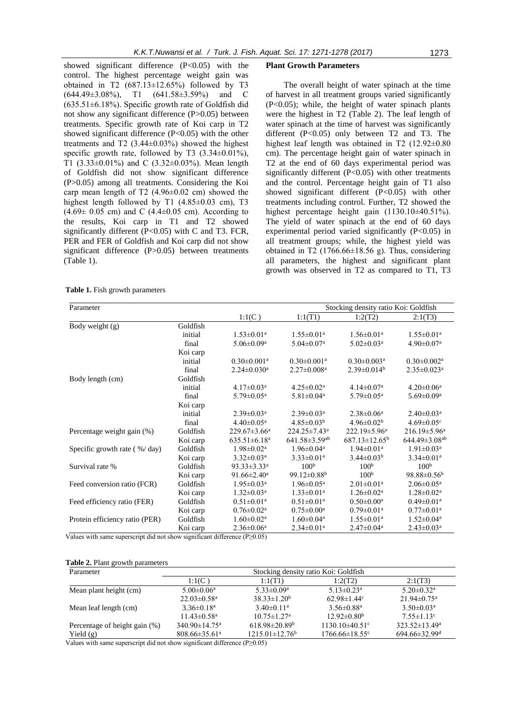showed significant difference (P<0.05) with the control. The highest percentage weight gain was obtained in T2  $(687.13 \pm 12.65\%)$  followed by T3 (644.49±3.08%), T1 (641.58±3.59%) and C  $(635.51\pm6.18\%)$ . Specific growth rate of Goldfish did not show any significant difference (P>0.05) between treatments. Specific growth rate of Koi carp in T2 showed significant difference (P<0.05) with the other treatments and T2  $(3.44\pm0.03\%)$  showed the highest specific growth rate, followed by T3  $(3.34\pm0.01\%)$ , T1  $(3.33\pm0.01\%)$  and C  $(3.32\pm0.03\%)$ . Mean length of Goldfish did not show significant difference (P>0.05) among all treatments. Considering the Koi carp mean length of T2 (4.96±0.02 cm) showed the highest length followed by T1  $(4.85\pm0.03$  cm), T3  $(4.69 \pm 0.05 \text{ cm})$  and C  $(4.4 \pm 0.05 \text{ cm})$ . According to the results, Koi carp in T1 and T2 showed significantly different  $(P<0.05)$  with C and T3. FCR, PER and FER of Goldfish and Koi carp did not show significant difference (P>0.05) between treatments (Table 1).

#### **Plant Growth Parameters**

The overall height of water spinach at the time of harvest in all treatment groups varied significantly (P<0.05); while, the height of water spinach plants were the highest in T2 (Table 2). The leaf length of water spinach at the time of harvest was significantly different (P<0.05) only between T2 and T3. The highest leaf length was obtained in T2 (12.92±0.80 cm). The percentage height gain of water spinach in T2 at the end of 60 days experimental period was significantly different (P<0.05) with other treatments and the control. Percentage height gain of T1 also showed significant different (P<0.05) with other treatments including control. Further, T2 showed the highest percentage height gain (1130.10±40.51%). The yield of water spinach at the end of 60 days experimental period varied significantly  $(P<0.05)$  in all treatment groups; while, the highest yield was obtained in T2 (1766.66 $\pm$ 18.56 g). Thus, considering all parameters, the highest and significant plant growth was observed in T2 as compared to T1, T3

**Table 1.** Fish growth parameters

| Parameter                                |          |                                |                                 | Stocking density ratio Koi: Goldfish |                                |
|------------------------------------------|----------|--------------------------------|---------------------------------|--------------------------------------|--------------------------------|
|                                          |          | 1:1(C)                         | 1:1(T1)                         | 1:2(T2)                              | 2:1(T3)                        |
| Body weight (g)                          | Goldfish |                                |                                 |                                      |                                |
|                                          | initial  | $1.53 \pm 0.01^a$              | $1.55 \pm 0.01^a$               | $1.56 \pm 0.01$ <sup>a</sup>         | $1.55 \pm 0.01^a$              |
|                                          | final    | $5.06 \pm 0.09$ <sup>a</sup>   | $5.04 \pm 0.07$ <sup>a</sup>    | $5.02 \pm 0.03$ <sup>a</sup>         | $4.90 \pm 0.07$ <sup>a</sup>   |
|                                          | Koi carp |                                |                                 |                                      |                                |
|                                          | initial  | $0.30 \pm 0.001$ <sup>a</sup>  | $0.30 \pm 0.001$ <sup>a</sup>   | $0.30 \pm 0.003$ <sup>a</sup>        | $0.30 \pm 0.002$ <sup>a</sup>  |
|                                          | final    | $2.24 \pm 0.030$ <sup>a</sup>  | $2.27 \pm 0.008$ <sup>a</sup>   | $2.39 \pm 0.014^b$                   | $2.35 \pm 0.023$ <sup>a</sup>  |
| Body length (cm)                         | Goldfish |                                |                                 |                                      |                                |
|                                          | initial  | $4.17 \pm 0.03$ <sup>a</sup>   | $4.25 \pm 0.02^{\text{a}}$      | $4.14 \pm 0.07$ <sup>a</sup>         | $4.20 \pm 0.06^{\mathrm{a}}$   |
|                                          | final    | $5.79 \pm 0.05^{\text{a}}$     | $5.81 \pm 0.04$ <sup>a</sup>    | $5.79 \pm 0.05^{\text{a}}$           | $5.69 \pm 0.09^{\mathrm{a}}$   |
|                                          | Koi carp |                                |                                 |                                      |                                |
|                                          | initial  | $2.39 \pm 0.03^{\text{a}}$     | $2.39 \pm 0.03^{\text{a}}$      | $2.38 \pm 0.06^a$                    | $2.40 \pm 0.03$ <sup>a</sup>   |
|                                          | final    | $4.40 \pm 0.05^{\text{a}}$     | $4.85 \pm 0.03^b$               | $4.96 \pm 0.02^b$                    | $4.69 \pm 0.05$ <sup>c</sup>   |
| Percentage weight gain (%)               | Goldfish | $229.67 \pm 3.66^{\mathrm{a}}$ | 224.25±7.43 <sup>a</sup>        | 222.19 $\pm$ 5.96 <sup>a</sup>       | $216.19 \pm 5.96^{\mathrm{a}}$ |
|                                          | Koi carp | $635.51 \pm 6.18$ <sup>a</sup> | $641.58 \pm 3.59$ <sup>ab</sup> | $687.13 \pm 12.65^b$                 | 644.49±3.08 <sup>ab</sup>      |
| Specific growth rate $(\frac{9}{4}$ day) | Goldfish | $1.98 \pm 0.02^{\text{a}}$     | $1.96 \pm 0.04$ <sup>a</sup>    | $1.94 \pm 0.01$ <sup>a</sup>         | $1.91 \pm 0.03^{\text{a}}$     |
|                                          | Koi carp | $3.32 \pm 0.03^a$              | $3.33 \pm 0.01$ <sup>a</sup>    | $3.44 \pm 0.03^b$                    | $3.34 \pm 0.01$ <sup>a</sup>   |
| Survival rate %                          | Goldfish | $93.33 \pm 3.33^a$             | 100 <sup>b</sup>                | 100 <sup>b</sup>                     | 100 <sup>b</sup>               |
|                                          | Koi carp | 91.66 $\pm$ 2.40 <sup>a</sup>  | 99.12 $\pm$ 0.88 <sup>b</sup>   | 100 <sup>b</sup>                     | 98.88 $\pm$ 0.56 <sup>b</sup>  |
| Feed conversion ratio (FCR)              | Goldfish | $1.95 \pm 0.03^{\text{a}}$     | $1.96 \pm 0.05^{\text{a}}$      | $2.01 \pm 0.01$ <sup>a</sup>         | $2.06 \pm 0.05^{\text{a}}$     |
|                                          | Koi carp | $1.32 \pm 0.03^a$              | $1.33 \pm 0.01$ <sup>a</sup>    | $1.26 \pm 0.02^{\text{a}}$           | $1.28 \pm 0.02^{\text{a}}$     |
| Feed efficiency ratio (FER)              | Goldfish | $0.51 \pm 0.01$ <sup>a</sup>   | $0.51 \pm 0.01^a$               | $0.50 \pm 0.00^{\rm a}$              | $0.49 \pm 0.01$ <sup>a</sup>   |
|                                          | Koi carp | $0.76 \pm 0.02^{\text{a}}$     | $0.75 \pm 0.00^{\mathrm{a}}$    | $0.79 \pm 0.01$ <sup>a</sup>         | $0.77 \pm 0.01$ <sup>a</sup>   |
| Protein efficiency ratio (PER)           | Goldfish | $1.60 \pm 0.02^{\text{a}}$     | $1.60 \pm 0.04$ <sup>a</sup>    | $1.55 \pm 0.01^a$                    | $1.52 \pm 0.04^{\text{a}}$     |
|                                          | Koi carp | $2.36 \pm 0.06^a$              | $2.34 \pm 0.01$ <sup>a</sup>    | $2.47 \pm 0.04^a$                    | $2.43 \pm 0.03^a$              |

Values with same superscript did not show significant difference ( $P \geq 0.05$ )

#### **Table 2.** Plant growth parameters

| Parameter                     | Stocking density ratio Koi: Goldfish |                               |                                  |                               |
|-------------------------------|--------------------------------------|-------------------------------|----------------------------------|-------------------------------|
|                               | 1:1(C)                               | 1:1(T1)                       | 1:2(T2)                          | 2:1(T3)                       |
| Mean plant height (cm)        | $5.00 \pm 0.06^a$                    | $5.33 \pm 0.09^a$             | $5.13 \pm 0.23$ <sup>a</sup>     | $5.20 \pm 0.32$ <sup>a</sup>  |
|                               | $22.03 \pm 0.58$ <sup>a</sup>        | $38.33 \pm 1.20^b$            | $62.98 \pm 1.44$ <sup>c</sup>    | $21.94 \pm 0.75$ <sup>a</sup> |
| Mean leaf length (cm)         | $3.36 \pm 0.18^a$                    | $3.40 \pm 0.11$ <sup>a</sup>  | $3.56 \pm 0.88$ <sup>a</sup>     | $3.50 \pm 0.03^{\text{a}}$    |
|                               | $11.43 \pm 0.58$ <sup>a</sup>        | $10.75 \pm 1.27$ <sup>a</sup> | $12.92 \pm 0.80^{\rm b}$         | $7.55 \pm 1.13$ <sup>c</sup>  |
| Percentage of height gain (%) | $340.90 \pm 14.75$ <sup>a</sup>      | $618.98 \pm 20.89^{\rm b}$    | $1130.10\pm40.51^{\circ}$        | $323.52 \pm 13.49^a$          |
| Yield $(g)$                   | $808.66 \pm 35.61^{\text{a}}$        | $1215.01 \pm 12.76^b$         | $1766.66 \pm 18.55$ <sup>c</sup> | 694.66±32.99 <sup>d</sup>     |

Values with same superscript did not show significant difference (P≥0.05)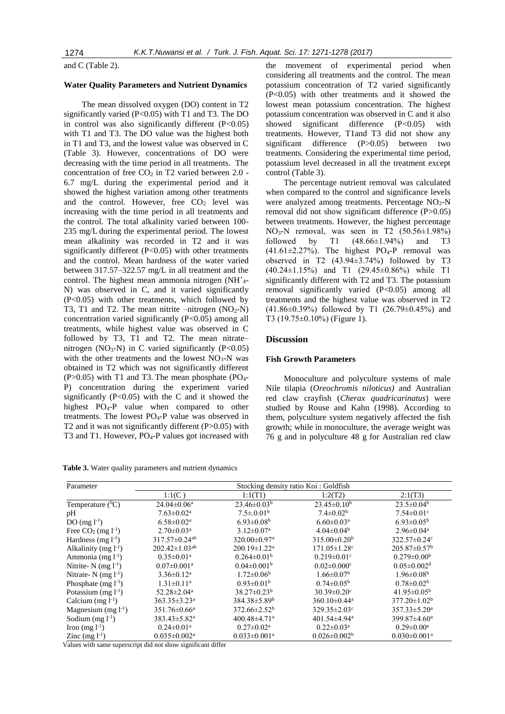and C (Table 2).

#### **Water Quality Parameters and Nutrient Dynamics**

The mean dissolved oxygen (DO) content in T2 significantly varied (P<0.05) with T1 and T3. The DO in control was also significantly different (P<0.05) with T1 and T3. The DO value was the highest both in T1 and T3, and the lowest value was observed in C (Table 3). However, concentrations of DO were decreasing with the time period in all treatments. The concentration of free  $CO<sub>2</sub>$  in T2 varied between 2.0 -6.7 mg/L during the experimental period and it showed the highest variation among other treatments and the control. However, free  $CO<sub>2</sub>$  level was increasing with the time period in all treatments and the control. The total alkalinity varied between 100- 235 mg/L during the experimental period. The lowest mean alkalinity was recorded in T2 and it was significantly different (P<0.05) with other treatments and the control. Mean hardness of the water varied between 317.57–322.57 mg/L in all treatment and the control. The highest mean ammonia nitrogen (NH<sup>+</sup>4-N) was observed in C, and it varied significantly (P<0.05) with other treatments, which followed by T3, T1 and T2. The mean nitrite –nitrogen  $(NO<sub>2</sub>-N)$ concentration varied significantly (P<0.05) among all treatments, while highest value was observed in C followed by T3, T1 and T2. The mean nitrate– nitrogen (NO<sub>3</sub>-N) in C varied significantly (P<0.05) with the other treatments and the lowest  $NO<sub>3</sub>-N$  was obtained in T2 which was not significantly different  $(P>0.05)$  with T1 and T3. The mean phosphate (PO<sub>4</sub>-P) concentration during the experiment varied significantly  $(P<0.05)$  with the C and it showed the highest PO<sub>4</sub>-P value when compared to other treatments. The lowest  $PO<sub>4</sub>-P$  value was observed in T2 and it was not significantly different (P>0.05) with T3 and T1. However, PO<sub>4</sub>-P values got increased with

**Table 3.** Water quality parameters and nutrient dynamics

the movement of experimental period when considering all treatments and the control. The mean potassium concentration of T2 varied significantly (P<0.05) with other treatments and it showed the lowest mean potassium concentration. The highest potassium concentration was observed in C and it also showed significant difference (P<0.05) with treatments. However, T1and T3 did not show any significant difference (P>0.05) between two treatments. Considering the experimental time period, potassium level decreased in all the treatment except control (Table 3).

The percentage nutrient removal was calculated when compared to the control and significance levels were analyzed among treatments. Percentage  $NO<sub>2</sub>-N$ removal did not show significant difference (P>0.05) between treatments. However, the highest percentage  $NO<sub>3</sub>-N$  removal, was seen in T2 (50.56 $\pm$ 1.98%) followed by T1  $(48.66 \pm 1.94\%)$  and T3  $(41.61\pm2.27\%)$ . The highest PO<sub>4</sub>-P removal was observed in T2 (43.94±3.74%) followed by T3 (40.24±1.15%) and T1 (29.45±0.86%) while T1 significantly different with T2 and T3. The potassium removal significantly varied (P<0.05) among all treatments and the highest value was observed in T2 (41.86±0.39%) followed by T1 (26.79±0.45%) and T3 (19.75±0.10%) (Figure 1).

#### **Discussion**

#### **Fish Growth Parameters**

Monoculture and polyculture systems of male Nile tilapia (*Oreochromis niloticus)* and Australian red claw crayfish (*Cherax quadricarinatus*) were studied by Rouse and Kahn (1998). According to them, polyculture system negatively affected the fish growth; while in monoculture, the average weight was 76 g and in polyculture 48 g for Australian red claw

| Parameter                   | Stocking density ratio Koi: Goldfish |                                |                                |                                |
|-----------------------------|--------------------------------------|--------------------------------|--------------------------------|--------------------------------|
|                             | 1:1(C)                               | 1:1(T1)                        | 1:2(T2)                        | 2:1(T3)                        |
| Temperature $(^0C)$         | $24.04 \pm 0.06^a$                   | $23.46 \pm 0.03^b$             | $23.45 \pm 0.10^b$             | $23.5 \pm 0.04^b$              |
| pH                          | $7.63 \pm 0.02^a$                    | $7.5 \pm 0.01^{\rm b}$         | $7.4 \pm 0.02^b$               | $7.54 \pm 0.01$ <sup>c</sup>   |
| DO $(mg l^{-1})$            | $6.58 \pm 0.02^{\text{a}}$           | $6.93 \pm 0.08$ <sup>b</sup>   | $6.60 \pm 0.03$ <sup>a</sup>   | $6.93 \pm 0.05^{\rm b}$        |
| Free $CO2$ (mg $l-1$ )      | $2.70 \pm 0.03^{\text{a}}$           | $3.12 \pm 0.07$ <sup>a</sup>   | $4.04 \pm 0.04^b$              | $2.96 \pm 0.04$ <sup>a</sup>   |
| Hardness (mg $l^{-1}$ )     | $317.57 \pm 0.24$ <sup>ab</sup>      | 320.00±0.97 <sup>a</sup>       | $315.00 \pm 0.20^b$            | 322.57±0.24c                   |
| Alkalinity (mg $l^{-1}$ )   | $202.42 \pm 1.03^{ab}$               | $200.19 \pm 1.22$ <sup>a</sup> | $171.05 \pm 1.28$ c            | $205.87 \pm 0.57^b$            |
| Ammonia (mg $l^{-1}$ )      | $0.35 \pm 0.01$ <sup>a</sup>         | $0.264 \pm 0.01^{\rm b}$       | $0.219 \pm 0.01$ c             | $0.279 \pm 0.00^b$             |
| Nitrite- $N$ (mg $l^{-1}$ ) | $0.07 \pm 0.001$ <sup>a</sup>        | $0.04 \pm 0.001^b$             | $0.02 \pm 0.000$ <sup>c</sup>  | $0.05 \pm 0.002$ <sup>d</sup>  |
| Nitrate- $N$ (mg $l^{-1}$ ) | $3.36 \pm 0.12^a$                    | $1.72 \pm 0.06^b$              | $1.66 \pm 0.07^b$              | $1.96 \pm 0.08^b$              |
| Phosphate $(mg l^{-1})$     | $1.31 \pm 0.11^a$                    | $0.93 \pm 0.01^b$              | $0.74 \pm 0.05^{\rm b}$        | $0.78 \pm 0.02^b$              |
| Potassium $(mg l^{-1})$     | $52.28 \pm 2.04^{\mathrm{a}}$        | $38.27 \pm 0.23^b$             | $30.39 \pm 0.20$ <sup>c</sup>  | $41.95 \pm 0.05^{\rm b}$       |
| Calcium $(mg l^{-1})$       | $363.35 \pm 3.23^{\text{a}}$         | 384.38±5.89 <sup>b</sup>       | 360.10 $\pm$ 0.44 <sup>a</sup> | $377.20 \pm 1.02^b$            |
| Magnesium (mg $l^{-1}$ )    | $351.76 \pm 0.66^a$                  | $372.66 \pm 2.52^b$            | $329.35 \pm 2.03$ <sup>c</sup> | $357.33 \pm 5.20^a$            |
| Sodium $(mg l^{-1})$        | $383.43 \pm 5.82^a$                  | 400.48 $\pm$ 4.71 <sup>a</sup> | $401.54 \pm 4.94$ <sup>a</sup> | 399.87±4.60 <sup>a</sup>       |
| Iron $(mg l^{-1})$          | $0.24 \pm 0.01$ <sup>a</sup>         | $0.27 \pm 0.02^{\text{a}}$     | $0.22 \pm 0.03^{\text{a}}$     | $0.29 \pm 0.00^{\text{a}}$     |
| Zinc $(mg l^{-1})$          | $0.035 \pm 0.002^a$                  | $0.033 \pm 0.001$ <sup>a</sup> | $0.026 \pm 0.002^b$            | $0.030 \pm 0.001$ <sup>a</sup> |

Values with same superscript did not show significant differ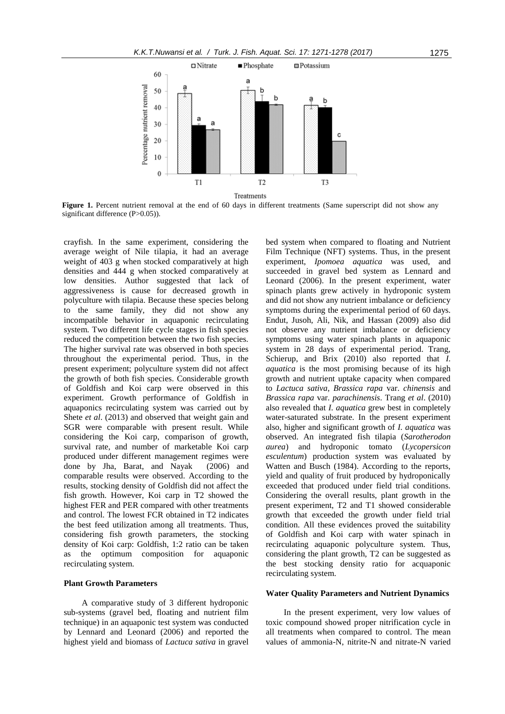

Figure 1. Percent nutrient removal at the end of 60 days in different treatments (Same superscript did not show any significant difference (P>0.05)).

crayfish. In the same experiment, considering the average weight of Nile tilapia, it had an average weight of 403 g when stocked comparatively at high densities and 444 g when stocked comparatively at low densities. Author suggested that lack of aggressiveness is cause for decreased growth in polyculture with tilapia. Because these species belong to the same family, they did not show any incompatible behavior in aquaponic recirculating system. Two different life cycle stages in fish species reduced the competition between the two fish species. The higher survival rate was observed in both species throughout the experimental period. Thus, in the present experiment; polyculture system did not affect the growth of both fish species. Considerable growth of Goldfish and Koi carp were observed in this experiment. Growth performance of Goldfish in aquaponics recirculating system was carried out by Shete *et al*. (2013) and observed that weight gain and SGR were comparable with present result. While considering the Koi carp, comparison of growth, survival rate, and number of marketable Koi carp produced under different management regimes were done by Jha, Barat, and Nayak (2006) and comparable results were observed. According to the results, stocking density of Goldfish did not affect the fish growth. However, Koi carp in T2 showed the highest FER and PER compared with other treatments and control. The lowest FCR obtained in T2 indicates the best feed utilization among all treatments. Thus, considering fish growth parameters, the stocking density of Koi carp: Goldfish, 1:2 ratio can be taken as the optimum composition for aquaponic recirculating system.

## **Plant Growth Parameters**

A comparative study of 3 different hydroponic sub-systems (gravel bed, floating and nutrient film technique) in an aquaponic test system was conducted by Lennard and Leonard (2006) and reported the highest yield and biomass of *Lactuca sativa* in gravel

bed system when compared to floating and Nutrient Film Technique (NFT) systems. Thus, in the present experiment, *Ipomoea aquatica* was used, and succeeded in gravel bed system as Lennard and Leonard (2006). In the present experiment, water spinach plants grew actively in hydroponic system and did not show any nutrient imbalance or deficiency symptoms during the experimental period of 60 days. Endut, Jusoh, Ali, Nik, and Hassan (2009) also did not observe any nutrient imbalance or deficiency symptoms using water spinach plants in aquaponic system in 28 days of experimental period. Trang, Schierup, and Brix (2010) also reported that *I. aquatica* is the most promising because of its high growth and nutrient uptake capacity when compared to *Lactuca sativa*, *Brassica rapa* var. *chinensis* and *Brassica rapa* var*. parachinensis*. Trang *et al*. (2010) also revealed that *I. aquatica* grew best in completely water-saturated substrate. In the present experiment also, higher and significant growth of *I. aquatica* was observed. An integrated fish tilapia (*Sarotherodon aurea*) and hydroponic tomato (*Lycopersicon esculentum*) production system was evaluated by Watten and Busch (1984). According to the reports, yield and quality of fruit produced by hydroponically exceeded that produced under field trial conditions. Considering the overall results, plant growth in the present experiment, T2 and T1 showed considerable growth that exceeded the growth under field trial condition. All these evidences proved the suitability of Goldfish and Koi carp with water spinach in recirculating aquaponic polyculture system. Thus, considering the plant growth, T2 can be suggested as the best stocking density ratio for acquaponic recirculating system.

#### **Water Quality Parameters and Nutrient Dynamics**

In the present experiment, very low values of toxic compound showed proper nitrification cycle in all treatments when compared to control. The mean values of ammonia-N, nitrite-N and nitrate-N varied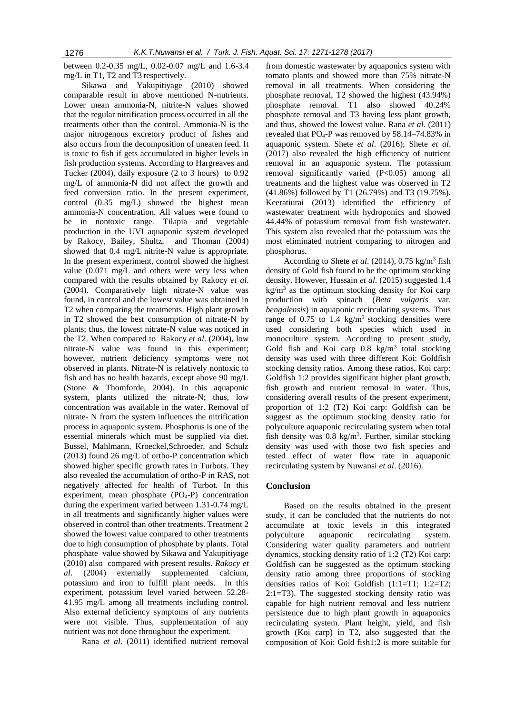between 0.2-0.35 mg/L, 0.02-0.07 mg/L and 1.6-3.4 mg/L in T1, T2 and T3 respectively.

Sikawa and Yakupitiyage (2010) showed comparable result in above mentioned N-nutrients. Lower mean ammonia-N, nitrite-N values showed that the regular nitrification process occurred in all the treatments other than the control. Ammonia-N is the major nitrogenous excretory product of fishes and also occurs from the decomposition of uneaten feed. It is toxic to fish if gets accumulated in higher levels in fish production systems. According to Hargreaves and Tucker (2004), daily exposure (2 to 3 hours) to 0.92 mg/L of ammonia-N did not affect the growth and feed conversion ratio. In the present experiment, control (0.35 mg/L) showed the highest mean ammonia-N concentration. All values were found to be in nontoxic range. Tilapia and vegetable production in the UVI aquaponic system developed by Rakocy, Bailey, Shultz, and Thoman (2004) showed that 0.4 mg/L nitrite-N value is appropriate. In the present experiment, control showed the highest value (0.071 mg/L and others were very less when compared with the results obtained by Rakocy *et al*. (2004). Comparatively high nitrate-N value was found, in control and the lowest value was obtained in T2 when comparing the treatments. High plant growth in T2 showed the best consumption of nitrate-N by plants; thus, the lowest nitrate-N value was noticed in the T2. When compared to Rakocy *et al*. (2004), low nitrate-N value was found in this experiment; however, nutrient deficiency symptoms were not observed in plants. Nitrate-N is relatively nontoxic to fish and has no health hazards, except above 90 mg/L (Stone & Thomforde, 2004). In this aquaponic system, plants utilized the nitrate-N; thus, low concentration was available in the water. Removal of nitrate- N from the system influences the nitrification process in aquaponic system. Phosphorus is one of the essential minerals which must be supplied via diet. Bussel, Mahlmann, Kroeckel,Schroeder, and Schulz (2013) found 26 mg/L of ortho-P concentration which showed higher specific growth rates in Turbots. They also revealed the accumulation of ortho-P in RAS, not negatively affected for health of Turbot. In this experiment, mean phosphate (PO4-P) concentration during the experiment varied between 1.31-0.74 mg/L in all treatments and significantly higher values were observed in control than other treatments. Treatment 2 showed the lowest value compared to other treatments due to high consumption of phosphate by plants. Total phosphate value showed by Sikawa and Yakupitiyage (2010) also compared with present results. *Rakocy et al*. (2004) externally supplemented calcium, potassium and iron to fulfill plant needs. In this experiment, potassium level varied between 52.28- 41.95 mg/L among all treatments including control. Also external deficiency symptoms of any nutrients were not visible. Thus, supplementation of any nutrient was not done throughout the experiment.

Rana *et al*. (2011) identified nutrient removal

from domestic wastewater by aquaponics system with tomato plants and showed more than 75% nitrate-N removal in all treatments. When considering the phosphate removal, T2 showed the highest (43.94%) phosphate removal. T1 also showed 40.24% phosphate removal and T3 having less plant growth, and thus, showed the lowest value. Rana *et al*. (2011) revealed that PO4-P was removed by 58.14–74.83% in aquaponic system. Shete *et al*. (2016); Shete *et al*. (2017) also revealed the high efficiency of nutrient removal in an aquaponic system. The potassium removal significantly varied (P<0.05) among all treatments and the highest value was observed in T2 (41.86%) followed by T1 (26.79%) and T3 (19.75%). Keeratiurai (2013) identified the efficiency of wastewater treatment with hydroponics and showed 44.44% of potassium removal from fish wastewater. This system also revealed that the potassium was the most eliminated nutrient comparing to nitrogen and phosphorus.

According to Shete *et al.* (2014), 0.75 kg/m<sup>3</sup> fish density of Gold fish found to be the optimum stocking density. However, Hussain *et al*. (2015) suggested 1.4 kg/m<sup>3</sup> as the optimum stocking density for Koi carp production with spinach (*Beta vulgaris* var. *bengalensis*) in aquaponic recirculating systems. Thus range of  $0.75$  to  $1.4$  kg/m<sup>3</sup> stocking densities were used considering both species which used in monoculture system. According to present study, Gold fish and Koi carp  $0.8 \text{ kg/m}^3$  total stocking density was used with three different Koi: Goldfish stocking density ratios. Among these ratios, Koi carp: Goldfish 1:2 provides significant higher plant growth, fish growth and nutrient removal in water. Thus, considering overall results of the present experiment, proportion of 1:2 (T2) Koi carp: Goldfish can be suggest as the optimum stocking density ratio for polyculture aquaponic recirculating system when total fish density was  $0.8 \text{ kg/m}^3$ . Further, similar stocking density was used with those two fish species and tested effect of water flow rate in aquaponic recirculating system by Nuwansi *et al*. (2016).

# **Conclusion**

Based on the results obtained in the present study, it can be concluded that the nutrients do not accumulate at toxic levels in this integrated polyculture aquaponic recirculating system. Considering water quality parameters and nutrient dynamics, stocking density ratio of 1:2 (T2) Koi carp: Goldfish can be suggested as the optimum stocking density ratio among three proportions of stocking densities ratios of Koi: Goldfish (1:1=T1; 1:2=T2; 2:1=T3). The suggested stocking density ratio was capable for high nutrient removal and less nutrient persistence due to high plant growth in aquaponics recirculating system. Plant height, yield, and fish growth (Koi carp) in T2, also suggested that the composition of Koi: Gold fish1:2 is more suitable for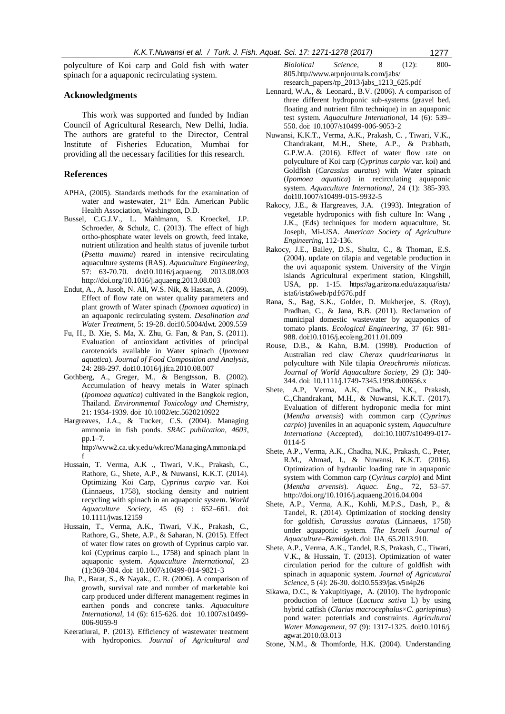polyculture of Koi carp and Gold fish with water spinach for a aquaponic recirculating system.

## **Acknowledgments**

This work was supported and funded by Indian Council of Agricultural Research, New Delhi, India. The authors are grateful to the Director, Central Institute of Fisheries Education, Mumbai for providing all the necessary facilities for this research.

# **References**

[f](http://www2.ca.uky.edu/wkrec/ManagingAmmonia.pdf)

- APHA, (2005). Standards methods for the examination of water and wastewater, 21<sup>st</sup> Edn. American Public Health Association, Washington, D.D.
- Bussel, C.G.J.V., L. Mahlmann, S. Kroeckel, J.P. Schroeder, & Schulz, C. (2013). The effect of high ortho-phosphate water levels on growth, feed intake, nutrient utilization and health status of juvenile turbot (*Psetta maxima*) reared in intensive recirculating aquaculture systems (RAS). *Aquaculture Engineering,* 57: 63-70[.70. doi:10.1016/j.aquaeng. 2013.08.003](70.%20doi:10.1016/j.aquaeng.%202013.08.003) <http://doi.org/10.1016/j.aquaeng.2013.08.003>
- Endut, A., A. Jusoh, N. Ali, W.S. Nik, & Hassan, A. (2009). Effect of flow rate on water quality parameters and plant growth of Water spinach (*Ipomoea aquatica*) in an aquaponic recirculating system. *Desalination and Water Treatment,* 5: 19-28. doi:10.5004/dwt. 2009.559
- Fu, H., B. Xie, S. Ma, X. Zhu, G. Fan, & Pan, S. (2011). Evaluation of antioxidant activities of principal carotenoids available in Water spinach (*Ipomoea aquatica*). *Journal of Food Composition and Analysis*, 24: 288-297. doi:10.1016/j.jfca.2010.08.007
- Gothberg, A., Greger, M., & Bengtsson, B. (2002). Accumulation of heavy metals in Water spinach (*Ipomoea aquatica*) cultivated in the Bangkok region, Thailand. *Environmental Toxicology and Chemistry*, 21: 1934-1939. doi: 10.1002/etc.5620210922
- Hargreaves, J.A., & Tucker, C.S. (2004). Managing ammonia in fish ponds. *SRAC publication, 4603*, pp.1–7. [http://www2.ca.uky.edu/wkrec/ManagingAmmonia.pd](http://www2.ca.uky.edu/wkrec/ManagingAmmonia.pdf)
- Hussain, T. Verma, A.K ., Tiwari, V.K., Prakash, C., Rathore, G., Shete, A.P., & Nuwansi, K.K.T. (2014). Optimizing Koi Carp, *Cyprinus carpio* var. Koi (Linnaeus, 1758), stocking density and nutrient recycling with spinach in an aquaponic system. *World Aquaculture Society*, 45 (6) : 652–661. doi: 10.1111/jwas.12159
- Hussain, T., Verma, A.K., Tiwari, V.K., Prakash, C., Rathore, G., Shete, A.P., & Saharan, N. (2015). Effect of water flow rates on growth of Cyprinus carpio var. koi (Cyprinus carpio L., 1758) and spinach plant in aquaponic system. *Aquaculture International,* 23 (1):369-384. doi: 10.1007/s10499-014-9821-3
- Jha, P., Barat, S., & Nayak., C. R. (2006). A comparison of growth, survival rate and number of marketable koi carp produced under different management regimes in earthen ponds and concrete tanks. Aquaculture *International,* 14 (6): 615-626. doi: 10.1007/s10499- 006-9059-9
- Keeratiurai, P. (2013). Efficiency of wastewater treatment with hydroponics. *Journal of Agricultural and*

*Biololical Science*, 8 (12): 800- 805.http://www.arpnjournals.com/jabs/ research\_papers/rp\_2013/jabs\_1213\_625.pdf

- Lennard, W.A., & Leonard., B.V. (2006). A comparison of three different hydroponic sub-systems (gravel bed, floating and nutrient film technique) in an aquaponic test system. *Aquaculture International*, 14 (6): 539– 550. doi: 10.1007/s10499-006-9053-2
- Nuwansi, K.K.T., Verma, A.K., Prakash, C. , Tiwari, V.K., Chandrakant, M.H., Shete, A.P., & Prabhath, G.P.W.A. (2016). Effect of water flow rate on polyculture of Koi carp (*Cyprinus carpio* var. koi) and Goldfish (*Carassius auratus*) with Water spinach (*Ipomoea aquatica*) in recirculating aquaponic system. *Aquaculture International*, 24 (1): 385-393. doi:10.1007/s10499-015-9932-5
- Rakocy, J.E., & Hargreaves, J.A. (1993). Integration of vegetable hydroponics with fish culture In: Wang , J.K., (Eds) techniques for modern aquaculture, St. Joseph, Mi-USA. *American Society of Agriculture Engineering*, 112-136.
- Rakocy, J.E., Bailey, D.S., Shultz, C., & Thoman, E.S. (2004). update on tilapia and vegetable production in the uvi aquaponic system. University of the Virgin islands Agricultural experiment station, Kingshill, USA, pp. 1-15. https://ag.arizona.edu/azaqua/ista/ ista6/ista6web/pdf/676.pdf
- Rana, S., Bag, S.K., Golder, D. Mukherjee, S. (Roy), Pradhan, C., & Jana, B.B. (2011). Reclamation of municipal domestic wastewater by aquaponics of tomato plants. *Ecological Engineering,* 37 (6): 981- 988. doi:10.1016/j.ecoleng.2011.01.009
- Rouse, D.B., & Kahn, B.M. (1998). Production of Australian red claw *Cherax quudricarinatus* in polyculture with Nile tilapia *Oreochromis niloticus*. *Journal of World Aquaculture Society*, 29 (3): 340- 344. doi: 10.1111/j.1749-7345.1998.tb00656.x
- Shete, A.P, Verma, A.K, Chadha, N.K., Prakash, C.,Chandrakant, M.H., & Nuwansi, K.K.T. (2017). Evaluation of different hydroponic media for mint (*Mentha arvensis*) with common carp (*Cyprinus carpio*) juveniles in an aquaponic system, *Aquaculture Internationa* (Accepted), doi:10.1007/s10499-017- 0114-5
- Shete, A.P., Verma, A.K., Chadha, N.K., Prakash, C., Peter, R.M., Ahmad, I., & Nuwansi, K.K.T. (2016). Optimization of hydraulic loading rate in aquaponic system with Common carp (*Cyrinus carpio*) and Mint (*Mentha arvensis*). *Aquac. Eng*., 72, 53–57. http://doi.org/10.1016/j.aquaeng.2016.04.004
- Shete, A.P., Verma, A.K., Kohli, M.P.S., Dash, P., & Tandel, R. (2014). Optimization of stocking density for goldfish, *Carassius auratus* (Linnaeus, 1758) under aquaponic system. *The Israeli Journal of Aquaculture–Bamidgeh*. doi: IJA\_65.2013.910.
- Shete, A.P., Verma, A.K., Tandel, R.S, Prakash, C., Tiwari, V.K., & Hussain, T. (2013). Optimization of water circulation period for the culture of goldfish with spinach in aquaponic system. *Journal of Agricutural Science,* 5 (4): 26-30. doi:10.5539/jas.v5n4p26
- Sikawa, D.C., & Yakupitiyage, A. (2010). The hydroponic production of lettuce (*Lactuca sativa* L) by using hybrid catfish (*Clarias macrocephalus*×*C. gariepinus*) pond water: potentials and constraints. *Agricultural Water Management,* 97 (9): 1317-1325. doi:10.1016/j. agwat.2010.03.013
- Stone, N.M., & Thomforde, H.K. (2004). Understanding